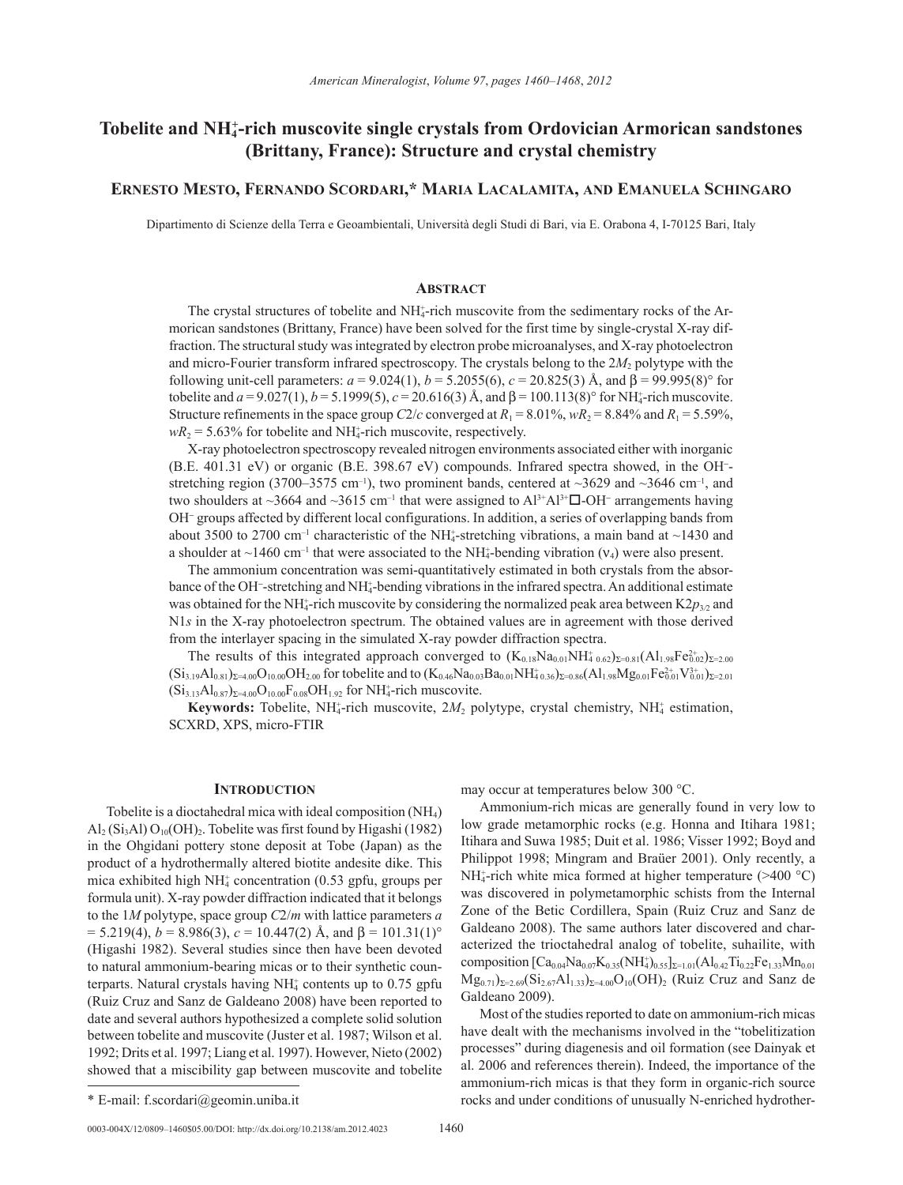# Tobelite and NH<sup>+</sup>-rich muscovite single crystals from Ordovician Armorican sandstones **(Brittany, France): Structure and crystal chemistry**

## **Ernesto Mesto, Fernando Scordari,\* Maria Lacalamita, and Emanuela Schingaro**

Dipartimento di Scienze della Terra e Geoambientali, Università degli Studi di Bari, via E. Orabona 4, I-70125 Bari, Italy

## **Abstract**

The crystal structures of tobelite and NH<sub>4</sub>-rich muscovite from the sedimentary rocks of the Armorican sandstones (Brittany, France) have been solved for the first time by single-crystal X-ray diffraction. The structural study was integrated by electron probe microanalyses, and X-ray photoelectron and micro-Fourier transform infrared spectroscopy. The crystals belong to the 2*M*<sub>2</sub> polytype with the following unit-cell parameters:  $a = 9.024(1)$ ,  $b = 5.2055(6)$ ,  $c = 20.825(3)$  Å, and  $β = 99.995(8)°$  for tobelite and  $a = 9.027(1)$ ,  $b = 5.1999(5)$ ,  $c = 20.616(3)$  Å, and  $\beta = 100.113(8)$ ° for NH<sub>4</sub>-rich muscovite. Structure refinements in the space group *C*2/*c* converged at  $R_1 = 8.01\%$ ,  $wR_2 = 8.84\%$  and  $R_1 = 5.59\%$ ,  $wR_2$  = 5.63% for tobelite and NH<sup> $_4$ </sup>-rich muscovite, respectively.

X-ray photoelectron spectroscopy revealed nitrogen environments associated either with inorganic (B.E. 401.31 eV) or organic (B.E. 398.67 eV) compounds. Infrared spectra showed, in the OH<sup>−</sup> stretching region (3700–3575 cm<sup>-1</sup>), two prominent bands, centered at  $\sim$ 3629 and  $\sim$ 3646 cm<sup>-1</sup>, and two shoulders at ~3664 and ~3615 cm<sup>-1</sup> that were assigned to Al<sup>3+</sup>Al<sup>3+</sup> $\square$ -OH<sup>-</sup> arrangements having OH<sup>−</sup> groups affected by different local configurations. In addition, a series of overlapping bands from about 3500 to 2700 cm<sup>-1</sup> characteristic of the NH<sub>4</sub>-stretching vibrations, a main band at  $\sim$ 1430 and a shoulder at  $\sim$ 1460 cm<sup>-1</sup> that were associated to the NH<sub>4</sub>-bending vibration ( $v_4$ ) were also present.

The ammonium concentration was semi-quantitatively estimated in both crystals from the absorbance of the OH<sup>−</sup> -stretching and NH4 + -bending vibrations in the infrared spectra. An additional estimate was obtained for the NH<sub>4</sub>-rich muscovite by considering the normalized peak area between K2 $p_{3/2}$  and N1*s* in the X-ray photoelectron spectrum. The obtained values are in agreement with those derived from the interlayer spacing in the simulated X-ray powder diffraction spectra.

The results of this integrated approach converged to  $(K_{0.18}Na_{0.01}NH_{4\ 0.62})_{\Sigma=0.81}(Al_{1.98}Fe_{0.02}^{2+})_{\Sigma=2.00}$  $(Si_{3.19}Al_{0.81})_{\Sigma=4.00}O_{10.00}OH_{2.00}$  for tobelite and to  $(K_{0.46}Na_{0.03}Ba_{0.01}NH_{4.0.36}^*)_{\Sigma=0.86}(Al_{1.98}Mg_{0.01}Fe_{0.01}^2V_{0.01}^3)_{\Sigma=2.01}$  $(Si_{3.13}Al_{0.87})_{\Sigma=4.00}O_{10.00}F_{0.08}OH_{1.92}$  for NH<sub>4</sub>-rich muscovite.

**Keywords:** Tobelite, NH<sub>4</sub>-rich muscovite,  $2M_2$  polytype, crystal chemistry, NH<sub>4</sub> estimation, SCXRD, XPS, micro-FTIR

## **Introduction**

Tobelite is a dioctahedral mica with ideal composition (NH4) Al<sub>2</sub> (Si<sub>3</sub>Al)  $O_{10}(OH)$ <sub>2</sub>. Tobelite was first found by Higashi (1982) in the Ohgidani pottery stone deposit at Tobe (Japan) as the product of a hydrothermally altered biotite andesite dike. This mica exhibited high  $NH_4^+$  concentration (0.53 gpfu, groups per formula unit). X-ray powder diffraction indicated that it belongs to the 1*M* polytype, space group *C*2/*m* with lattice parameters *a*  $= 5.219(4)$ ,  $b = 8.986(3)$ ,  $c = 10.447(2)$  Å, and  $\beta = 101.31(1)$ ° (Higashi 1982). Several studies since then have been devoted to natural ammonium-bearing micas or to their synthetic counterparts. Natural crystals having  $NH<sub>4</sub>$  contents up to 0.75 gpfu (Ruiz Cruz and Sanz de Galdeano 2008) have been reported to date and several authors hypothesized a complete solid solution between tobelite and muscovite (Juster et al. 1987; Wilson et al. 1992; Drits et al. 1997; Liang et al. 1997). However, Nieto (2002) showed that a miscibility gap between muscovite and tobelite

0003-004X/12/0809-1460\$05.00/DOI: http://dx.doi.org/10.2138/am.2012.4023 1460

may occur at temperatures below 300 °C.

Ammonium-rich micas are generally found in very low to low grade metamorphic rocks (e.g. Honna and Itihara 1981; Itihara and Suwa 1985; Duit et al. 1986; Visser 1992; Boyd and Philippot 1998; Mingram and Braüer 2001). Only recently, a NH<sub>4</sub>-rich white mica formed at higher temperature  $($ >400 °C) was discovered in polymetamorphic schists from the Internal Zone of the Betic Cordillera, Spain (Ruiz Cruz and Sanz de Galdeano 2008). The same authors later discovered and characterized the trioctahedral analog of tobelite, suhailite, with composition  $[Ca_{0.04}Na_{0.07}K_{0.35}(NH_4^*)_{0.55}]_{\Sigma=1.01}(Al_{0.42}Ti_{0.22}Fe_{1.33}Mn_{0.01}$  $Mg_{0.71}$ <sub> $\Sigma=2.69(Si_{2.67}Al_{1.33})_{\Sigma=4.00}O_{10}(OH)_{2}$  (Ruiz Cruz and Sanz de</sub> Galdeano 2009).

Most of the studies reported to date on ammonium-rich micas have dealt with the mechanisms involved in the "tobelitization processes" during diagenesis and oil formation (see Dainyak et al. 2006 and references therein). Indeed, the importance of the ammonium-rich micas is that they form in organic-rich source \* E-mail: f.scordari@geomin.uniba.it rocks and under conditions of unusually N-enriched hydrother-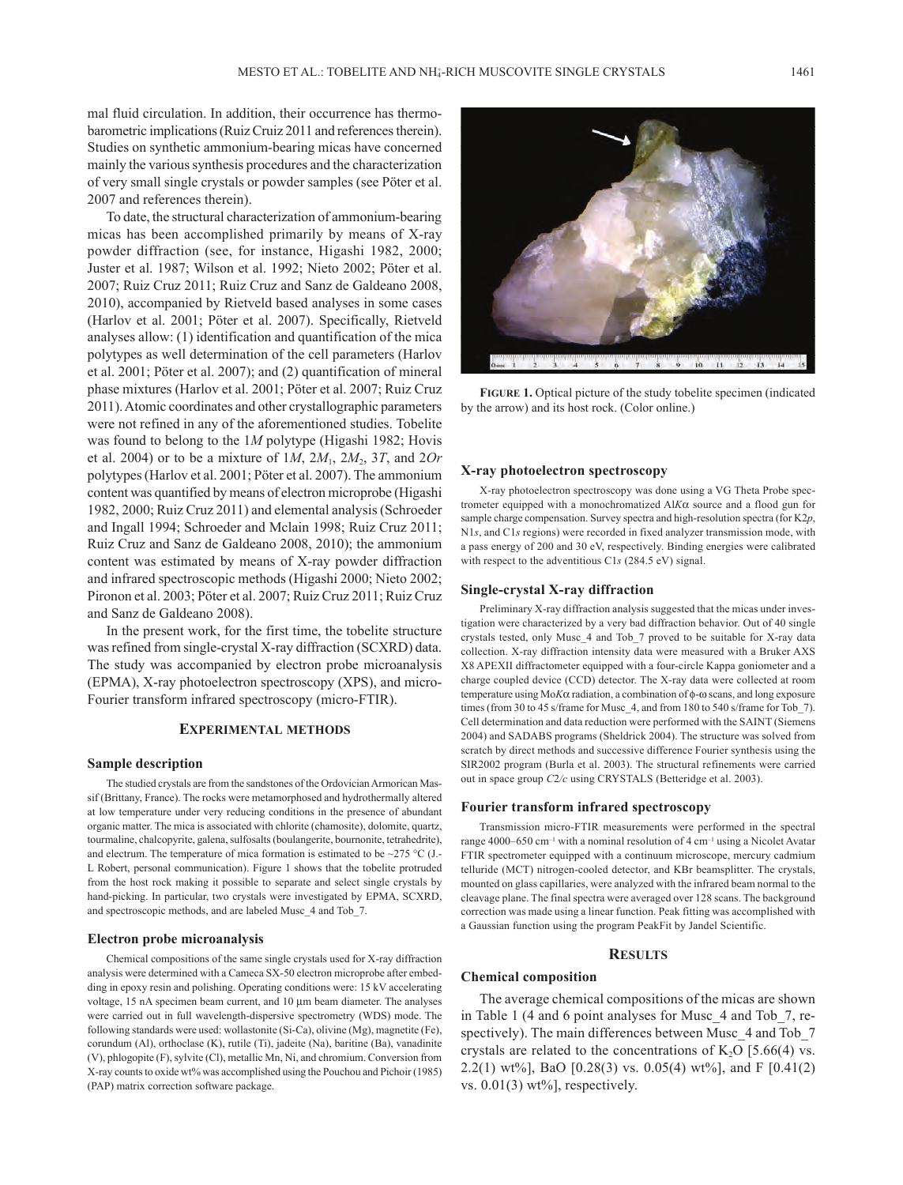mal fluid circulation. In addition, their occurrence has thermobarometric implications (Ruiz Cruiz 2011 and references therein). Studies on synthetic ammonium-bearing micas have concerned mainly the various synthesis procedures and the characterization of very small single crystals or powder samples (see Pöter et al. 2007 and references therein).

To date, the structural characterization of ammonium-bearing micas has been accomplished primarily by means of X-ray powder diffraction (see, for instance, Higashi 1982, 2000; Juster et al. 1987; Wilson et al. 1992; Nieto 2002; Pöter et al. 2007; Ruiz Cruz 2011; Ruiz Cruz and Sanz de Galdeano 2008, 2010), accompanied by Rietveld based analyses in some cases (Harlov et al. 2001; Pöter et al. 2007). Specifically, Rietveld analyses allow: (1) identification and quantification of the mica polytypes as well determination of the cell parameters (Harlov et al. 2001; Pöter et al. 2007); and (2) quantification of mineral phase mixtures (Harlov et al. 2001; Pöter et al. 2007; Ruiz Cruz 2011). Atomic coordinates and other crystallographic parameters were not refined in any of the aforementioned studies. Tobelite was found to belong to the 1*M* polytype (Higashi 1982; Hovis et al. 2004) or to be a mixture of 1*M*, 2*M*1, 2*M*2, 3*T*, and 2*Or* polytypes (Harlov et al. 2001; Pöter et al. 2007). The ammonium content was quantified by means of electron microprobe (Higashi 1982, 2000; Ruiz Cruz 2011) and elemental analysis (Schroeder and Ingall 1994; Schroeder and Mclain 1998; Ruiz Cruz 2011; Ruiz Cruz and Sanz de Galdeano 2008, 2010); the ammonium content was estimated by means of X-ray powder diffraction and infrared spectroscopic methods (Higashi 2000; Nieto 2002; Pironon et al. 2003; Pöter et al. 2007; Ruiz Cruz 2011; Ruiz Cruz and Sanz de Galdeano 2008).

In the present work, for the first time, the tobelite structure was refined from single-crystal X-ray diffraction (SCXRD) data. The study was accompanied by electron probe microanalysis (EPMA), X-ray photoelectron spectroscopy (XPS), and micro-Fourier transform infrared spectroscopy (micro-FTIR).

## **Experimental methods**

## **Sample description**

The studied crystals are from the sandstones of the Ordovician Armorican Massif (Brittany, France). The rocks were metamorphosed and hydrothermally altered at low temperature under very reducing conditions in the presence of abundant organic matter. The mica is associated with chlorite (chamosite), dolomite, quartz, tourmaline, chalcopyrite, galena, sulfosalts (boulangerite, bournonite, tetrahedrite), and electrum. The temperature of mica formation is estimated to be  $\sim$ 275 °C (J.-L Robert, personal communication). Figure 1 shows that the tobelite protruded from the host rock making it possible to separate and select single crystals by hand-picking. In particular, two crystals were investigated by EPMA, SCXRD, and spectroscopic methods, and are labeled Musc\_4 and Tob\_7.

## **Electron probe microanalysis**

Chemical compositions of the same single crystals used for X-ray diffraction analysis were determined with a Cameca SX-50 electron microprobe after embedding in epoxy resin and polishing. Operating conditions were: 15 kV accelerating voltage, 15 nA specimen beam current, and 10 µm beam diameter. The analyses were carried out in full wavelength-dispersive spectrometry (WDS) mode. The following standards were used: wollastonite (Si-Ca), olivine (Mg), magnetite (Fe), corundum (Al), orthoclase (K), rutile (Ti), jadeite (Na), baritine (Ba), vanadinite (V), phlogopite (F), sylvite (Cl), metallic Mn, Ni, and chromium. Conversion from X-ray counts to oxide wt% was accomplished using the Pouchou and Pichoir (1985) (PAP) matrix correction software package.

by the arrow) and its host rock. (Color online.) **Figure 1.** Optical picture of the study tobelite specimen (indicated

## **X-ray photoelectron spectroscopy**

X-ray photoelectron spectroscopy was done using a VG Theta Probe spectrometer equipped with a monochromatized Al*K*α source and a flood gun for sample charge compensation. Survey spectra and high-resolution spectra (for K2*p*, N1*s*, and C1*s* regions) were recorded in fixed analyzer transmission mode, with a pass energy of 200 and 30 eV, respectively. Binding energies were calibrated with respect to the adventitious C1*s* (284.5 eV) signal.

#### **Single-crystal X-ray diffraction**

Preliminary X-ray diffraction analysis suggested that the micas under investigation were characterized by a very bad diffraction behavior. Out of 40 single crystals tested, only Musc\_4 and Tob\_7 proved to be suitable for X-ray data collection. X-ray diffraction intensity data were measured with a Bruker AXS X8 APEXII diffractometer equipped with a four-circle Kappa goniometer and a charge coupled device (CCD) detector. The X-ray data were collected at room temperature using Mo*K*α radiation, a combination of φ-ω scans, and long exposure times (from 30 to 45 s/frame for Musc 4, and from 180 to 540 s/frame for Tob 7). Cell determination and data reduction were performed with the SAINT (Siemens 2004) and SADABS programs (Sheldrick 2004). The structure was solved from scratch by direct methods and successive difference Fourier synthesis using the SIR2002 program (Burla et al. 2003). The structural refinements were carried out in space group *C*2*/c* using CRYSTALS (Betteridge et al. 2003).

#### **Fourier transform infrared spectroscopy**

Transmission micro-FTIR measurements were performed in the spectral range 4000–650 cm<sup>-1</sup> with a nominal resolution of 4 cm<sup>-1</sup> using a Nicolet Avatar FTIR spectrometer equipped with a continuum microscope, mercury cadmium telluride (MCT) nitrogen-cooled detector, and KBr beamsplitter. The crystals, mounted on glass capillaries, were analyzed with the infrared beam normal to the cleavage plane. The final spectra were averaged over 128 scans. The background correction was made using a linear function. Peak fitting was accomplished with a Gaussian function using the program PeakFit by Jandel Scientific.

#### **Results**

## **Chemical composition**

The average chemical compositions of the micas are shown in Table 1 (4 and 6 point analyses for Musc\_4 and Tob\_7, respectively). The main differences between Musc\_4 and Tob\_7 crystals are related to the concentrations of  $K_2O$  [5.66(4) vs. 2.2(1) wt%], BaO [0.28(3) vs. 0.05(4) wt%], and F [0.41(2) vs.  $0.01(3)$  wt%], respectively.



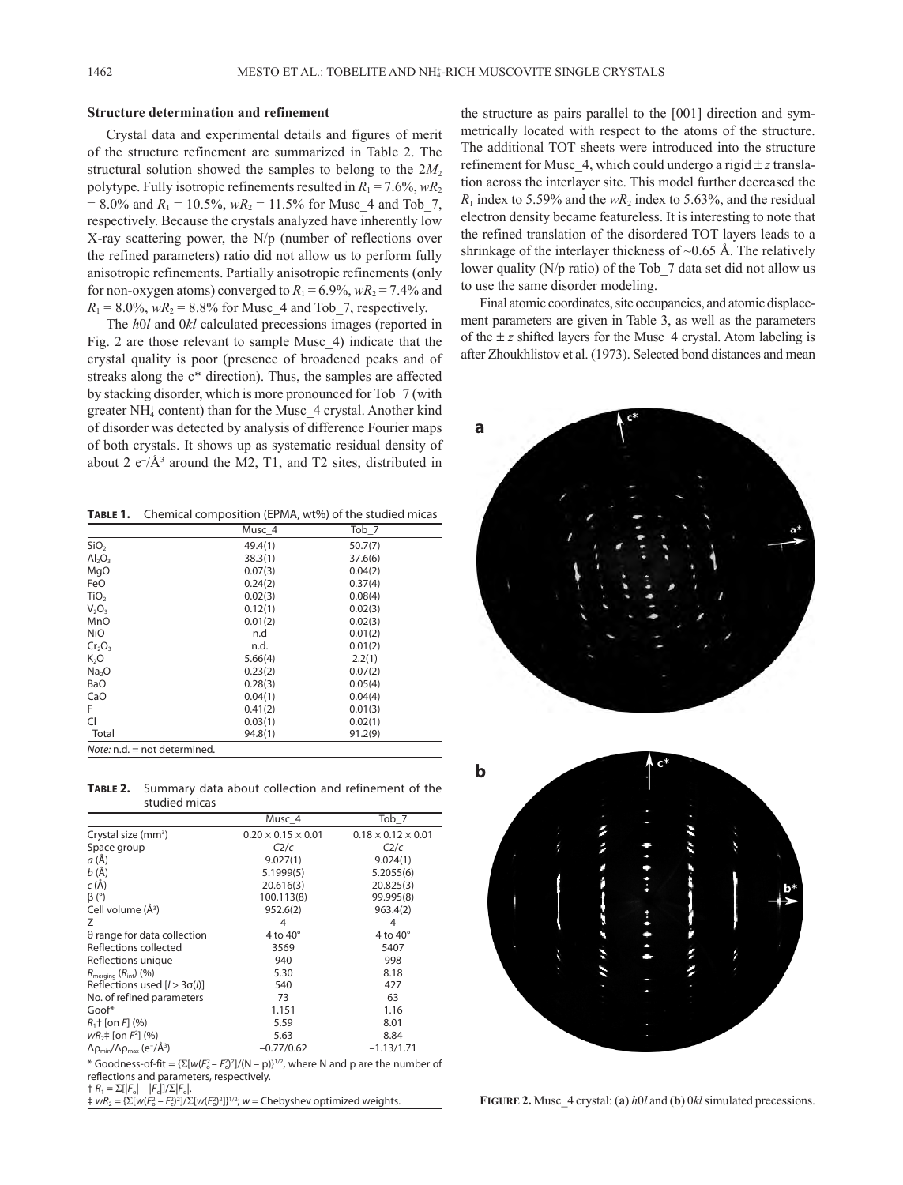## **Structure determination and refinement**

Crystal data and experimental details and figures of merit of the structure refinement are summarized in Table 2. The structural solution showed the samples to belong to the  $2M<sub>2</sub>$ polytype. Fully isotropic refinements resulted in  $R_1 = 7.6\%$ ,  $wR_2$  $= 8.0\%$  and  $R_1 = 10.5\%$ ,  $wR_2 = 11.5\%$  for Musc 4 and Tob 7, respectively. Because the crystals analyzed have inherently low X-ray scattering power, the N/p (number of reflections over the refined parameters) ratio did not allow us to perform fully anisotropic refinements. Partially anisotropic refinements (only for non-oxygen atoms) converged to  $R_1 = 6.9\%$ ,  $wR_2 = 7.4\%$  and  $R_1 = 8.0\%$ ,  $wR_2 = 8.8\%$  for Musc 4 and Tob 7, respectively.

The *h*0*l* and 0*kl* calculated precessions images (reported in Fig. 2 are those relevant to sample Musc\_4) indicate that the crystal quality is poor (presence of broadened peaks and of streaks along the c\* direction). Thus, the samples are affected by stacking disorder, which is more pronounced for Tob\_7 (with greater NH<sub>4</sub> content) than for the Musc\_4 crystal. Another kind of disorder was detected by analysis of difference Fourier maps of both crystals. It shows up as systematic residual density of about 2  $e^{-}/\text{\AA}^3$  around the M2, T1, and T2 sites, distributed in

**Table 1.** Chemical composition (EPMA, wt%) of the studied micas

|                              | Musc 4  | Tob_7   |  |  |  |
|------------------------------|---------|---------|--|--|--|
| SiO <sub>2</sub>             | 49.4(1) | 50.7(7) |  |  |  |
| $Al_2O_3$                    | 38.3(1) | 37.6(6) |  |  |  |
| MgO                          | 0.07(3) | 0.04(2) |  |  |  |
| FeO                          | 0.24(2) | 0.37(4) |  |  |  |
| TiO <sub>2</sub>             | 0.02(3) | 0.08(4) |  |  |  |
| $V_2O_3$                     | 0.12(1) | 0.02(3) |  |  |  |
| MnO                          | 0.01(2) | 0.02(3) |  |  |  |
| <b>NiO</b>                   | n.d     | 0.01(2) |  |  |  |
| $Cr_2O_3$                    | n.d.    | 0.01(2) |  |  |  |
| K <sub>2</sub> O             | 5.66(4) | 2.2(1)  |  |  |  |
| Na <sub>2</sub> O            | 0.23(2) | 0.07(2) |  |  |  |
| BaO                          | 0.28(3) | 0.05(4) |  |  |  |
| CaO                          | 0.04(1) | 0.04(4) |  |  |  |
| F                            | 0.41(2) | 0.01(3) |  |  |  |
| <b>CI</b>                    | 0.03(1) | 0.02(1) |  |  |  |
| Total                        | 94.8(1) | 91.2(9) |  |  |  |
| Note: n.d. = not determined. |         |         |  |  |  |

**Table 2.** Summary data about collection and refinement of the studied micas

|                                                                  | Musc 4                         | Tob_7                          |
|------------------------------------------------------------------|--------------------------------|--------------------------------|
| Crystal size $(mm^3)$                                            | $0.20 \times 0.15 \times 0.01$ | $0.18 \times 0.12 \times 0.01$ |
| Space group                                                      | C2/c                           | C2/c                           |
| a (Å)                                                            | 9.027(1)                       | 9.024(1)                       |
| b(A)                                                             | 5.1999(5)                      | 5.2055(6)                      |
| $c(\AA)$                                                         | 20.616(3)                      | 20.825(3)                      |
| $\beta$ (°)                                                      | 100.113(8)                     | 99.995(8)                      |
| Cell volume (Å <sup>3</sup> )                                    | 952.6(2)                       | 963.4(2)                       |
| Ζ                                                                | 4                              | 4                              |
| $\theta$ range for data collection                               | 4 to $40^\circ$                | 4 to $40^\circ$                |
| Reflections collected                                            | 3569                           | 5407                           |
| Reflections unique                                               | 940                            | 998                            |
| $R_{\text{meraina}} (R_{\text{int}}) (%)$                        | 5.30                           | 8.18                           |
| Reflections used $[1 > 3\sigma(l)]$                              | 540                            | 427                            |
| No. of refined parameters                                        | 73                             | 63                             |
| Goof*                                                            | 1.151                          | 1.16                           |
| $R_1$ † [on $F_1$ (%)                                            | 5.59                           | 8.01                           |
| $wR_2$ = [on $F^2$ ] (%)                                         | 5.63                           | 8.84                           |
| $\Delta\rho_{\rm min}/\Delta\rho_{\rm max}$ (e <sup>-/Å3</sup> ) | $-0.77/0.62$                   | $-1.13/1.71$                   |

\* Goodness-of-fit =  $\{\Sigma[w(F_o - F_c^2)^2]/(N - p)\}^{1/2}$ , where N and p are the number of reflections and parameters, respectively.

† *R*1 = Σ[|*F*o| – |*F*c|]/Σ|*F*o|.

 $\frac{1}{4}$  *wR*<sub>2</sub> = { $\sum [w(F_0^2 - F_0^2)^2]/\sum [w(F_0^2)^2]$ 

the structure as pairs parallel to the [001] direction and symmetrically located with respect to the atoms of the structure. The additional TOT sheets were introduced into the structure refinement for Musc 4, which could undergo a rigid  $\pm z$  translation across the interlayer site. This model further decreased the  $R_1$  index to 5.59% and the  $wR_2$  index to 5.63%, and the residual electron density became featureless. It is interesting to note that the refined translation of the disordered TOT layers leads to a shrinkage of the interlayer thickness of  $\sim 0.65$  Å. The relatively lower quality (N/p ratio) of the Tob 7 data set did not allow us to use the same disorder modeling.

Final atomic coordinates, site occupancies, and atomic displacement parameters are given in Table 3, as well as the parameters of the  $\pm z$  shifted layers for the Musc 4 crystal. Atom labeling is after Zhoukhlistov et al. (1973). Selected bond distances and mean





FIGURE 2. Musc\_4 crystal: (a)  $h0l$  and (b) 0 $kl$  simulated precessions.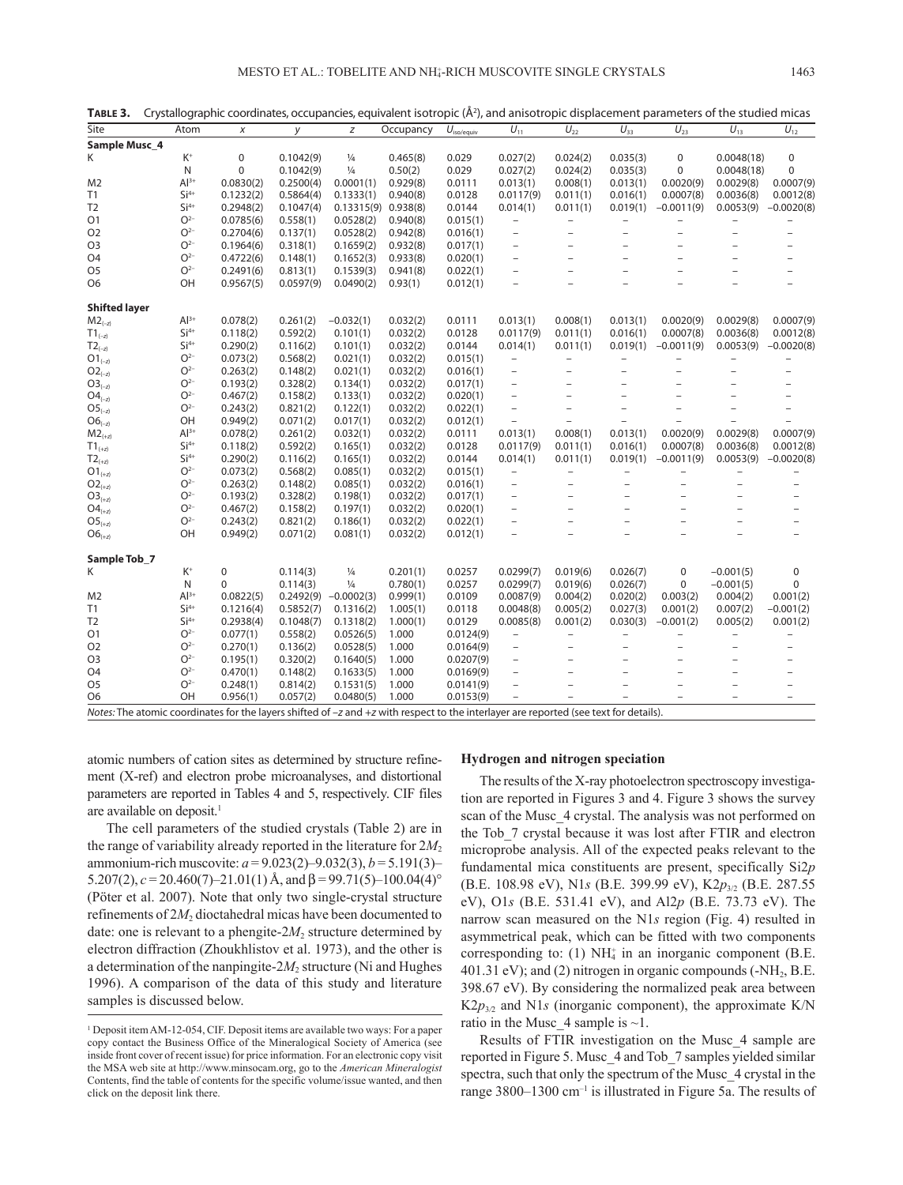| Site                                                                                                                                      | Atom                                 | х         | y         | z                       | Occupancy | $U_{\text{iso/equiv}}$ | $U_{11}$                 | $U_{22}$                 | $U_{33}$                 | $U_{23}$                 | $U_{13}$                 | $U_{12}$                 |
|-------------------------------------------------------------------------------------------------------------------------------------------|--------------------------------------|-----------|-----------|-------------------------|-----------|------------------------|--------------------------|--------------------------|--------------------------|--------------------------|--------------------------|--------------------------|
| Sample Musc_4                                                                                                                             |                                      |           |           |                         |           |                        |                          |                          |                          |                          |                          |                          |
| K                                                                                                                                         | $\mathsf{K}^{\scriptscriptstyle{+}}$ | 0         | 0.1042(9) | $\frac{1}{4}$           | 0.465(8)  | 0.029                  | 0.027(2)                 | 0.024(2)                 | 0.035(3)                 | 0                        | 0.0048(18)               | $\pmb{0}$                |
|                                                                                                                                           | N                                    | $\Omega$  | 0.1042(9) | $\frac{1}{4}$           | 0.50(2)   | 0.029                  | 0.027(2)                 | 0.024(2)                 | 0.035(3)                 | $\Omega$                 | 0.0048(18)               | $\mathbf 0$              |
| M <sub>2</sub>                                                                                                                            | $Al^{3+}$                            | 0.0830(2) | 0.2500(4) | 0.0001(1)               | 0.929(8)  | 0.0111                 | 0.013(1)                 | 0.008(1)                 | 0.013(1)                 | 0.0020(9)                | 0.0029(8)                | 0.0007(9)                |
| T1                                                                                                                                        | $Si4+$                               | 0.1232(2) | 0.5864(4) | 0.1333(1)               | 0.940(8)  | 0.0128                 | 0.0117(9)                | 0.011(1)                 | 0.016(1)                 | 0.0007(8)                | 0.0036(8)                | 0.0012(8)                |
| T <sub>2</sub>                                                                                                                            | $Si4+$                               | 0.2948(2) | 0.1047(4) | $0.13315(9)$ $0.938(8)$ |           | 0.0144                 | 0.014(1)                 | 0.011(1)                 | 0.019(1)                 | $-0.0011(9)$             | 0.0053(9)                | $-0.0020(8)$             |
| Ο1                                                                                                                                        | $O2-$                                | 0.0785(6) | 0.558(1)  | 0.0528(2)               | 0.940(8)  | 0.015(1)               | $\qquad \qquad -$        | $\overline{\phantom{0}}$ | $\qquad \qquad -$        | $\overline{a}$           | $\qquad \qquad -$        |                          |
| O <sub>2</sub>                                                                                                                            | $O2-$                                | 0.2704(6) | 0.137(1)  | 0.0528(2)               | 0.942(8)  | 0.016(1)               | $\overline{a}$           | $\overline{a}$           | $\overline{a}$           | $\overline{a}$           |                          | $\overline{a}$           |
| O3                                                                                                                                        | $O2-$                                | 0.1964(6) | 0.318(1)  | 0.1659(2)               | 0.932(8)  | 0.017(1)               | $\overline{\phantom{0}}$ | $\qquad \qquad -$        | $\qquad \qquad -$        | $\overline{\phantom{0}}$ | $\overline{\phantom{0}}$ | -                        |
| O4                                                                                                                                        | $O2-$                                | 0.4722(6) | 0.148(1)  | 0.1652(3)               | 0.933(8)  | 0.020(1)               | $\overline{\phantom{0}}$ | $\overline{\phantom{0}}$ | $\overline{\phantom{0}}$ |                          |                          | $\overline{\phantom{0}}$ |
| O <sub>5</sub>                                                                                                                            | $O2-$                                | 0.2491(6) | 0.813(1)  | 0.1539(3)               | 0.941(8)  | 0.022(1)               | $\overline{\phantom{0}}$ | $\overline{a}$           | $\overline{a}$           |                          |                          |                          |
| O <sub>6</sub>                                                                                                                            | OH                                   | 0.9567(5) | 0.0597(9) | 0.0490(2)               | 0.93(1)   | 0.012(1)               |                          |                          |                          |                          |                          |                          |
| <b>Shifted layer</b>                                                                                                                      |                                      |           |           |                         |           |                        |                          |                          |                          |                          |                          |                          |
| $\mathsf{M2}_{(-z)}$                                                                                                                      | $Al^{3+}$                            | 0.078(2)  | 0.261(2)  | $-0.032(1)$             | 0.032(2)  | 0.0111                 | 0.013(1)                 | 0.008(1)                 | 0.013(1)                 | 0.0020(9)                | 0.0029(8)                | 0.0007(9)                |
| $\mathsf{T1}_{(-z)}$                                                                                                                      | $Si4+$                               | 0.118(2)  | 0.592(2)  | 0.101(1)                | 0.032(2)  | 0.0128                 | 0.0117(9)                | 0.011(1)                 | 0.016(1)                 | 0.0007(8)                | 0.0036(8)                | 0.0012(8)                |
| $T2_{(-z)}$                                                                                                                               | $Si4+$                               | 0.290(2)  | 0.116(2)  | 0.101(1)                | 0.032(2)  | 0.0144                 | 0.014(1)                 | 0.011(1)                 | 0.019(1)                 | $-0.0011(9)$             | 0.0053(9)                | $-0.0020(8)$             |
| $\mathsf{O1}_{(-z)}$                                                                                                                      | $O2-$                                | 0.073(2)  | 0.568(2)  | 0.021(1)                | 0.032(2)  | 0.015(1)               | $\overline{\phantom{0}}$ | $\qquad \qquad -$        | $\overline{\phantom{0}}$ | $\overline{a}$           |                          |                          |
| $O2_{(-z)}$                                                                                                                               | $O2-$                                | 0.263(2)  | 0.148(2)  | 0.021(1)                | 0.032(2)  | 0.016(1)               | $\qquad \qquad -$        | $\qquad \qquad -$        | $\overline{\phantom{0}}$ | $\overline{a}$           |                          |                          |
| $O3_{(-z)}$                                                                                                                               | $O2-$                                | 0.193(2)  | 0.328(2)  | 0.134(1)                | 0.032(2)  | 0.017(1)               | $\overline{a}$           | $\overline{a}$           | $\overline{a}$           |                          |                          |                          |
| $O4_{(-z)}$                                                                                                                               | $O2-$                                | 0.467(2)  | 0.158(2)  | 0.133(1)                | 0.032(2)  | 0.020(1)               | $\qquad \qquad -$        | $\overline{\phantom{0}}$ | -                        |                          |                          |                          |
| $OS_{(-z)}$                                                                                                                               | $O2-$                                | 0.243(2)  | 0.821(2)  | 0.122(1)                | 0.032(2)  | 0.022(1)               | $\overline{\phantom{0}}$ | $\overline{\phantom{0}}$ | $\overline{a}$           | $\overline{\phantom{a}}$ | $\overline{\phantom{0}}$ | $\overline{\phantom{0}}$ |
| $O6_{(-z)}$                                                                                                                               | OH                                   | 0.949(2)  | 0.071(2)  | 0.017(1)                | 0.032(2)  | 0.012(1)               | $\overline{a}$           | $\overline{a}$           | $\overline{a}$           |                          |                          |                          |
| $M2_{(+z)}$                                                                                                                               | $Al^{3+}$                            | 0.078(2)  | 0.261(2)  | 0.032(1)                | 0.032(2)  | 0.0111                 | 0.013(1)                 | 0.008(1)                 | 0.013(1)                 | 0.0020(9)                | 0.0029(8)                | 0.0007(9)                |
| $\mathsf{T1}_{(+z)}$                                                                                                                      | $Si4+$                               | 0.118(2)  | 0.592(2)  | 0.165(1)                | 0.032(2)  | 0.0128                 | 0.0117(9)                | 0.011(1)                 | 0.016(1)                 | 0.0007(8)                | 0.0036(8)                | 0.0012(8)                |
| $T2_{(+z)}$                                                                                                                               | $Si4+$                               | 0.290(2)  | 0.116(2)  | 0.165(1)                | 0.032(2)  | 0.0144                 | 0.014(1)                 | 0.011(1)                 | 0.019(1)                 | $-0.0011(9)$             | 0.0053(9)                | $-0.0020(8)$             |
| $O1_{(+z)}$                                                                                                                               | O <sup>2</sup>                       | 0.073(2)  | 0.568(2)  | 0.085(1)                | 0.032(2)  | 0.015(1)               | $\overline{\phantom{0}}$ | $\overline{a}$           | $\overline{\phantom{0}}$ | $\qquad \qquad -$        |                          |                          |
| $O2_{(+z)}$                                                                                                                               | $O2-$                                | 0.263(2)  | 0.148(2)  | 0.085(1)                | 0.032(2)  | 0.016(1)               | $\overline{\phantom{0}}$ | $\qquad \qquad -$        | $\overline{\phantom{0}}$ | $\qquad \qquad -$        |                          |                          |
| $O3_{(+z)}$                                                                                                                               | $O2-$                                | 0.193(2)  | 0.328(2)  | 0.198(1)                | 0.032(2)  | 0.017(1)               | $\overline{\phantom{a}}$ | -                        |                          | $\overline{\phantom{0}}$ |                          |                          |
| ${\sf O4}_{(+z)}$                                                                                                                         | $O2-$                                | 0.467(2)  | 0.158(2)  | 0.197(1)                | 0.032(2)  | 0.020(1)               | $\qquad \qquad -$        | $\qquad \qquad -$        | $\overline{\phantom{0}}$ | $\qquad \qquad -$        |                          | $\overline{\phantom{0}}$ |
| $OS_{(+z)}$                                                                                                                               | $\mathsf{O}^{2-}$                    | 0.243(2)  | 0.821(2)  | 0.186(1)                | 0.032(2)  | 0.022(1)               |                          |                          | $\overline{\phantom{0}}$ |                          |                          |                          |
| $O6_{(+z)}$                                                                                                                               | OH                                   | 0.949(2)  | 0.071(2)  | 0.081(1)                | 0.032(2)  | 0.012(1)               | $\overline{a}$           | $\overline{a}$           | $\overline{a}$           | $\overline{a}$           |                          | $\overline{a}$           |
| Sample Tob_7                                                                                                                              |                                      |           |           |                         |           |                        |                          |                          |                          |                          |                          |                          |
| K                                                                                                                                         | $K^+$                                | 0         | 0.114(3)  | $\frac{1}{4}$           | 0.201(1)  | 0.0257                 | 0.0299(7)                | 0.019(6)                 | 0.026(7)                 | 0                        | $-0.001(5)$              | 0                        |
|                                                                                                                                           | N                                    | 0         | 0.114(3)  | $\frac{1}{4}$           | 0.780(1)  | 0.0257                 | 0.0299(7)                | 0.019(6)                 | 0.026(7)                 | 0                        | $-0.001(5)$              | $\mathbf 0$              |
| M <sub>2</sub>                                                                                                                            | $Al^{3+}$                            | 0.0822(5) | 0.2492(9) | $-0.0002(3)$            | 0.999(1)  | 0.0109                 | 0.0087(9)                | 0.004(2)                 | 0.020(2)                 | 0.003(2)                 | 0.004(2)                 | 0.001(2)                 |
| T1                                                                                                                                        | $Si4+$                               | 0.1216(4) | 0.5852(7) | 0.1316(2)               | 1.005(1)  | 0.0118                 | 0.0048(8)                | 0.005(2)                 | 0.027(3)                 | 0.001(2)                 | 0.007(2)                 | $-0.001(2)$              |
| T <sub>2</sub>                                                                                                                            | $Si4+$                               | 0.2938(4) | 0.1048(7) | 0.1318(2)               | 1.000(1)  | 0.0129                 | 0.0085(8)                | 0.001(2)                 | 0.030(3)                 | $-0.001(2)$              | 0.005(2)                 | 0.001(2)                 |
| Ο1                                                                                                                                        | $O2-$                                | 0.077(1)  | 0.558(2)  | 0.0526(5)               | 1.000     | 0.0124(9)              | $\overline{\phantom{0}}$ | $\overline{\phantom{0}}$ | $\qquad \qquad -$        | $\overline{a}$           | $\qquad \qquad -$        | $\overline{\phantom{0}}$ |
| O <sub>2</sub>                                                                                                                            | $O2-$                                | 0.270(1)  | 0.136(2)  | 0.0528(5)               | 1.000     | 0.0164(9)              | $\overline{\phantom{0}}$ | $\overline{a}$           | $\qquad \qquad -$        |                          |                          |                          |
| O3                                                                                                                                        | $O2-$                                | 0.195(1)  | 0.320(2)  | 0.1640(5)               | 1.000     | 0.0207(9)              | $\overline{\phantom{a}}$ | $\overline{\phantom{0}}$ | $\qquad \qquad -$        | $\overline{\phantom{0}}$ |                          | -                        |
| O <sub>4</sub>                                                                                                                            | $O2-$                                | 0.470(1)  | 0.148(2)  | 0.1633(5)               | 1.000     | 0.0169(9)              | $\overline{\phantom{0}}$ | -                        | $\overline{\phantom{0}}$ |                          |                          | $\overline{\phantom{0}}$ |
| O <sub>5</sub>                                                                                                                            | $O2-$                                | 0.248(1)  | 0.814(2)  | 0.1531(5)               | 1.000     | 0.0141(9)              | $\overline{\phantom{0}}$ | $\overline{a}$           | $\overline{a}$           |                          |                          | $\overline{\phantom{0}}$ |
| O6                                                                                                                                        | OH                                   | 0.956(1)  | 0.057(2)  | 0.0480(5)               | 1.000     | 0.0153(9)              |                          |                          |                          |                          |                          | $\overline{a}$           |
| Notes: The atomic coordinates for the layers shifted of $-z$ and $+z$ with respect to the interlayer are reported (see text for details). |                                      |           |           |                         |           |                        |                          |                          |                          |                          |                          |                          |

TABLE 3. Crystallographic coordinates, occupancies, equivalent isotropic (Å<sup>2</sup>), and anisotropic displacement parameters of the studied micas

atomic numbers of cation sites as determined by structure refinement (X-ref) and electron probe microanalyses, and distortional parameters are reported in Tables 4 and 5, respectively. CIF files are available on deposit.<sup>1</sup>

The cell parameters of the studied crystals (Table 2) are in the range of variability already reported in the literature for  $2M_2$ ammonium-rich muscovite: *a* = 9.023(2)–9.032(3), *b* = 5.191(3)– 5.207(2),  $c = 20.460(7) - 21.01(1)$  Å, and  $\beta = 99.71(5) - 100.04(4)$ ° (Pöter et al. 2007). Note that only two single-crystal structure refinements of  $2M_2$  dioctahedral micas have been documented to date: one is relevant to a phengite- $2M_2$  structure determined by electron diffraction (Zhoukhlistov et al. 1973), and the other is a determination of the nanpingite-2*M*2 structure (Ni and Hughes 1996). A comparison of the data of this study and literature samples is discussed below.

## **Hydrogen and nitrogen speciation**

The results of the X-ray photoelectron spectroscopy investigation are reported in Figures 3 and 4. Figure 3 shows the survey scan of the Musc\_4 crystal. The analysis was not performed on the Tob\_7 crystal because it was lost after FTIR and electron microprobe analysis. All of the expected peaks relevant to the fundamental mica constituents are present, specifically Si2*p* (B.E. 108.98 eV), N1*s* (B.E. 399.99 eV), K2*p*3/2 (B.E. 287.55 eV), O1*s* (B.E. 531.41 eV), and Al2*p* (B.E. 73.73 eV). The narrow scan measured on the N1*s* region (Fig. 4) resulted in asymmetrical peak, which can be fitted with two components corresponding to: (1)  $NH_4^+$  in an inorganic component (B.E. 401.31 eV); and (2) nitrogen in organic compounds  $(-NH<sub>2</sub>, B.E.$ 398.67 eV). By considering the normalized peak area between  $K2p_{3/2}$  and N1*s* (inorganic component), the approximate K/N ratio in the Musc  $\,$  4 sample is  $\sim$ 1.

Results of FTIR investigation on the Musc\_4 sample are reported in Figure 5. Musc\_4 and Tob\_7 samples yielded similar spectra, such that only the spectrum of the Musc\_4 crystal in the range 3800–1300 cm<sup>-1</sup> is illustrated in Figure 5a. The results of

<sup>&</sup>lt;sup>1</sup> Deposit item AM-12-054, CIF. Deposit items are available two ways: For a paper copy contact the Business Office of the Mineralogical Society of America (see inside front cover of recent issue) for price information. For an electronic copy visit the MSA web site at http://www.minsocam.org, go to the *American Mineralogist* Contents, find the table of contents for the specific volume/issue wanted, and then click on the deposit link there.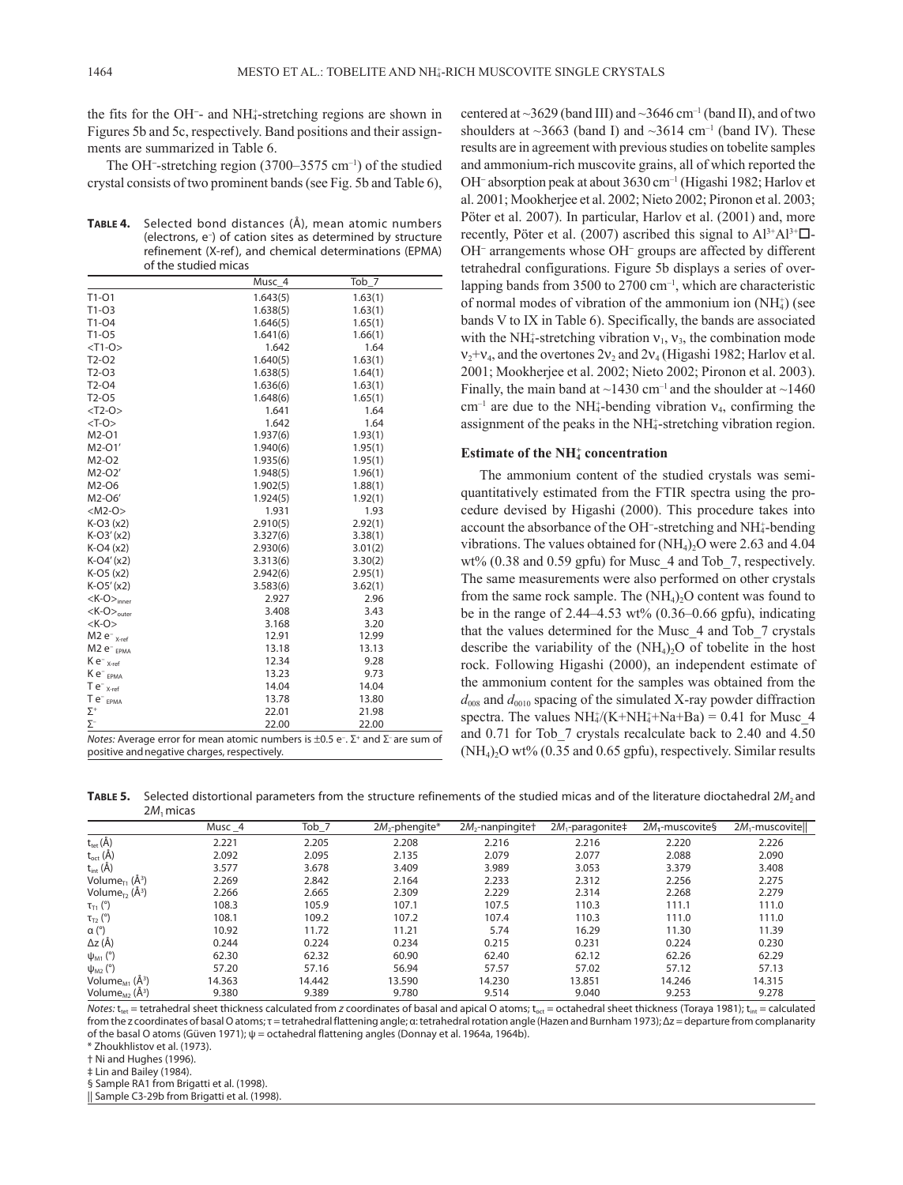the fits for the OH<sup>−</sup> - and NH4 + -stretching regions are shown in Figures 5b and 5c, respectively. Band positions and their assignments are summarized in Table 6.

The OH<sup>−</sup> -stretching region (3700–3575 cm–1) of the studied crystal consists of two prominent bands (see Fig. 5b and Table 6),

**Table 4.** Selected bond distances (Å), mean atomic numbers (electrons, e– ) of cation sites as determined by structure refinement (X-ref), and chemical determinations (EPMA) of the studied micas

|                                                                                                                 | Musc_4   | Tob_7   |  |  |
|-----------------------------------------------------------------------------------------------------------------|----------|---------|--|--|
| $T1-O1$                                                                                                         | 1.643(5) | 1.63(1) |  |  |
| $T1-O3$                                                                                                         | 1.638(5) | 1.63(1) |  |  |
| T1-04                                                                                                           | 1.646(5) | 1.65(1) |  |  |
| $T1-05$                                                                                                         | 1.641(6) | 1.66(1) |  |  |
| $<$ T1-O>                                                                                                       | 1.642    | 1.64    |  |  |
| $T2-O2$                                                                                                         | 1.640(5) | 1.63(1) |  |  |
| $T2-O3$                                                                                                         | 1.638(5) | 1.64(1) |  |  |
| $T2-04$                                                                                                         | 1.636(6) | 1.63(1) |  |  |
| T <sub>2</sub> -05                                                                                              | 1.648(6) | 1.65(1) |  |  |
| $<$ T2-O>                                                                                                       | 1.641    | 1.64    |  |  |
| $<$ T-O $>$                                                                                                     | 1.642    | 1.64    |  |  |
| M2-01                                                                                                           | 1.937(6) | 1.93(1) |  |  |
| M2-01'                                                                                                          | 1.940(6) | 1.95(1) |  |  |
| M2-O2                                                                                                           | 1.935(6) | 1.95(1) |  |  |
| M2-O2'                                                                                                          | 1.948(5) | 1.96(1) |  |  |
| M2-O6                                                                                                           | 1.902(5) | 1.88(1) |  |  |
| M2-O6'                                                                                                          | 1.924(5) | 1.92(1) |  |  |
| $<$ M2-O $>$                                                                                                    | 1.931    | 1.93    |  |  |
| $K-O3(x2)$                                                                                                      | 2.910(5) | 2.92(1) |  |  |
| $K-O3'(x2)$                                                                                                     | 3.327(6) | 3.38(1) |  |  |
| $K-O4 (x2)$                                                                                                     | 2.930(6) | 3.01(2) |  |  |
| $K-O4'(x2)$                                                                                                     | 3.313(6) | 3.30(2) |  |  |
| $K-O5(x2)$                                                                                                      | 2.942(6) | 2.95(1) |  |  |
| $K-O5'(x2)$                                                                                                     | 3.583(6) | 3.62(1) |  |  |
| $<$ K-O $>_{inner}$                                                                                             | 2.927    | 2.96    |  |  |
| $K$ -O $>_{\text{outer}}$                                                                                       | 3.408    | 3.43    |  |  |
| $<$ K-O $>$                                                                                                     | 3.168    | 3.20    |  |  |
| $M2 e^-$ <sub>X-ref</sub>                                                                                       | 12.91    | 12.99   |  |  |
| M <sub>2</sub> e <sup>-</sup> <sub>EPMA</sub>                                                                   | 13.18    | 13.13   |  |  |
| $K e^{-}$ <sub>X-ref</sub>                                                                                      | 12.34    | 9.28    |  |  |
| Ke <sup>-</sup> <sub>EPMA</sub>                                                                                 | 13.23    | 9.73    |  |  |
| $Te^{-}$ <sub>X-ref</sub>                                                                                       | 14.04    | 14.04   |  |  |
| $Te^-_{EPMA}$                                                                                                   | 13.78    | 13.80   |  |  |
| $\Sigma^+$                                                                                                      | 22.01    | 21.98   |  |  |
| $\Sigma^-$                                                                                                      | 22.00    | 22.00   |  |  |
| Notes: Average error for mean atomic numbers is $\pm 0.5$ e <sup>-</sup> . $\Sigma^+$ and $\Sigma^-$ are sum of |          |         |  |  |

positive andnegative charges, respectively.

centered at  $\sim$ 3629 (band III) and  $\sim$ 3646 cm<sup>-1</sup> (band II), and of two shoulders at  $\sim$ 3663 (band I) and  $\sim$ 3614 cm<sup>-1</sup> (band IV). These results are in agreement with previous studies on tobelite samples and ammonium-rich muscovite grains, all of which reported the OH<sup>−</sup> absorption peak at about 3630 cm–1 (Higashi 1982; Harlov et al. 2001; Mookherjee et al. 2002; Nieto 2002; Pironon et al. 2003; Pöter et al. 2007). In particular, Harlov et al. (2001) and, more recently, Pöter et al. (2007) ascribed this signal to  $Al^{3+}Al^{3+} \square$ . OH<sup>−</sup> arrangements whose OH<sup>−</sup> groups are affected by different tetrahedral configurations. Figure 5b displays a series of overlapping bands from 3500 to 2700 cm<sup>-1</sup>, which are characteristic of normal modes of vibration of the ammonium ion  $(NH_4^+)$  (see bands V to IX in Table 6). Specifically, the bands are associated with the NH<sub>4</sub>-stretching vibration  $v_1$ ,  $v_3$ , the combination mode  $v_2 + v_4$ , and the overtones  $2v_2$  and  $2v_4$  (Higashi 1982; Harlov et al. 2001; Mookherjee et al. 2002; Nieto 2002; Pironon et al. 2003). Finally, the main band at  $\sim$ 1430 cm<sup>-1</sup> and the shoulder at  $\sim$ 1460  $cm^{-1}$  are due to the NH<sub>4</sub>-bending vibration  $v_4$ , confirming the assignment of the peaks in the NH<sup>+</sup>-stretching vibration region.

## **Estimate of the NH**<sup>+</sup> concentration

The ammonium content of the studied crystals was semiquantitatively estimated from the FTIR spectra using the procedure devised by Higashi (2000). This procedure takes into account the absorbance of the OH<sup>-</sup>-stretching and NH<sub>4</sub>-bending vibrations. The values obtained for  $(NH_4)$ , O were 2.63 and 4.04 wt% (0.38 and 0.59 gpfu) for Musc\_4 and Tob\_7, respectively. The same measurements were also performed on other crystals from the same rock sample. The  $(NH_4)$ , O content was found to be in the range of 2.44–4.53 wt% (0.36–0.66 gpfu), indicating that the values determined for the Musc\_4 and Tob\_7 crystals describe the variability of the  $(NH_4)$ , O of tobelite in the host rock. Following Higashi (2000), an independent estimate of the ammonium content for the samples was obtained from the  $d_{008}$  and  $d_{0010}$  spacing of the simulated X-ray powder diffraction spectra. The values  $NH_4^+(K+NH_4^++Na+Ba) = 0.41$  for Musc\_4 and 0.71 for Tob\_7 crystals recalculate back to 2.40 and 4.50  $(NH<sub>4</sub>)<sub>2</sub>O wt% (0.35 and 0.65 gpfu)$ , respectively. Similar results

TABLE 5. Selected distortional parameters from the structure refinements of the studied micas and of the literature dioctahedral 2*M*<sub>2</sub> and 2*M*1 micas

|                                             | Musc _4 | Tob_7  | $2M2$ -phengite* | $2M2$ -nanpingite <sup>+</sup> | $2M_1$ -paragonite‡ | $2M_1$ -muscovite§ | 2M <sub>1</sub> -muscovite |
|---------------------------------------------|---------|--------|------------------|--------------------------------|---------------------|--------------------|----------------------------|
| $t_{\text{tet}}(\text{\AA})$                | 2.221   | 2.205  | 2.208            | 2.216                          | 2.216               | 2.220              | 2.226                      |
| $t_{\rm oct}$ (A)                           | 2.092   | 2.095  | 2.135            | 2.079                          | 2.077               | 2.088              | 2.090                      |
| $t_{int}(\check{A})$                        | 3.577   | 3.678  | 3.409            | 3.989                          | 3.053               | 3.379              | 3.408                      |
| Volume <sub>r</sub> , $(\AA^3)$             | 2.269   | 2.842  | 2.164            | 2.233                          | 2.312               | 2.256              | 2.275                      |
| Volume <sub>r</sub> , $(A^3)$               | 2.266   | 2.665  | 2.309            | 2.229                          | 2.314               | 2.268              | 2.279                      |
| $\tau_{\text{TI}}$ (°)                      | 108.3   | 105.9  | 107.1            | 107.5                          | 110.3               | 111.1              | 111.0                      |
| $\tau_{\text{\tiny T2}}$ (°)                | 108.1   | 109.2  | 107.2            | 107.4                          | 110.3               | 111.0              | 111.0                      |
| $\alpha$ ( $\degree$ )                      | 10.92   | 11.72  | 11.21            | 5.74                           | 16.29               | 11.30              | 11.39                      |
| $\Delta z$ (Å)                              | 0.244   | 0.224  | 0.234            | 0.215                          | 0.231               | 0.224              | 0.230                      |
| $\psi_{M1}$ (°)                             | 62.30   | 62.32  | 60.90            | 62.40                          | 62.12               | 62.26              | 62.29                      |
| $\psi_{M2}$ (°)                             | 57.20   | 57.16  | 56.94            | 57.57                          | 57.02               | 57.12              | 57.13                      |
| Volume <sub>M1</sub> $(\AA^3)$              | 14.363  | 14.442 | 13.590           | 14.230                         | 13.851              | 14.246             | 14.315                     |
| Volume <sub>M2</sub> ( $\AA$ <sup>3</sup> ) | 9.380   | 9.389  | 9.780            | 9.514                          | 9.040               | 9.253              | 9.278                      |

*Notes:* t<sub>ret</sub> = tetrahedral sheet thickness calculated from *z* coordinates of basal and apical O atoms; t<sub>ort</sub> = octahedral sheet thickness (Toraya 1981); t<sub>int</sub> = calculated from the z coordinates of basal O atoms; τ = tetrahedral flattening angle; α: tetrahedral rotation angle (Hazen and Burnham 1973); Δz = departure from complanarity of the basal O atoms (Güven 1971); ψ = octahedral flattening angles (Donnay et al. 1964a, 1964b).

\* Zhoukhlistov et al. (1973).

† Ni and Hughes (1996).

‡ Lin and Bailey (1984).

§ Sample RA1 from Brigatti et al. (1998).

|| Sample C3-29b from Brigatti et al. (1998).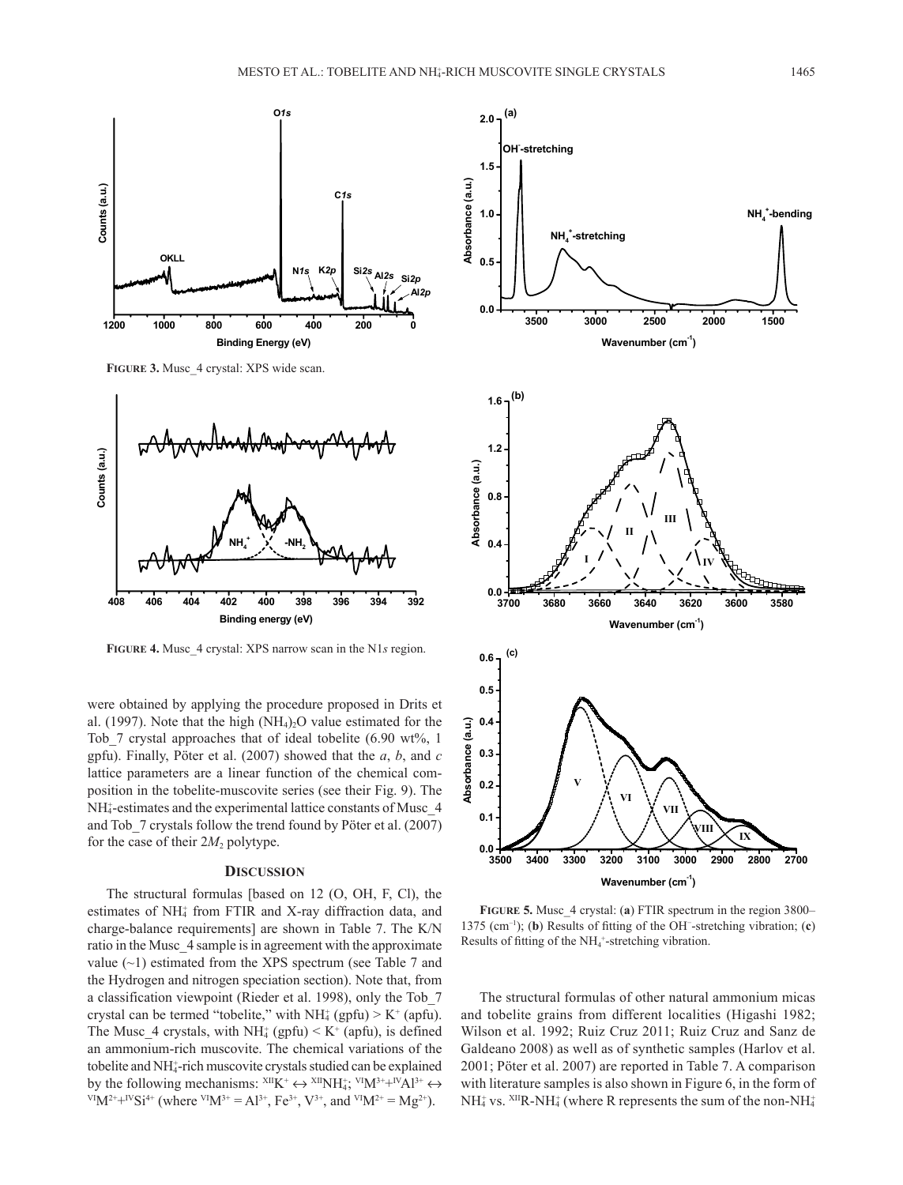

**Figure 3.** Musc\_4 crystal: XPS wide scan.



**Figure 4 Figure 4.** Musc\_4 crystal: XPS narrow scan in the N1*s* region.

were obtained by applying the procedure proposed in Drits et al. (1997). Note that the high  $(NH<sub>4</sub>)<sub>2</sub>O$  value estimated for the Tob 7 crystal approaches that of ideal tobelite  $(6.90 \text{ wt\%}, 1)$ gpfu). Finally, Pöter et al. (2007) showed that the *a*, *b*, and *c* lattice parameters are a linear function of the chemical composition in the tobelite-muscovite series (see their Fig. 9). The NH<sub>4</sub>-estimates and the experimental lattice constants of Musc\_4 and Tob\_7 crystals follow the trend found by Pöter et al. (2007) for the case of their  $2M_2$  polytype.

#### **Discussion**

The structural formulas [based on 12 (O, OH, F, Cl), the estimates of NH<sub>4</sub> from FTIR and X-ray diffraction data, and charge-balance requirements] are shown in Table 7. The K/N ratio in the Musc\_4 sample is in agreement with the approximate value  $(-1)$  estimated from the XPS spectrum (see Table 7 and the Hydrogen and nitrogen speciation section). Note that, from a classification viewpoint (Rieder et al. 1998), only the Tob\_7 crystal can be termed "tobelite," with  $NH<sub>4</sub>$  (gpfu) > K<sup>+</sup> (apfu). The Musc\_4 crystals, with  $NH_4^+$  (gpfu)  $\leq K^+$  (apfu), is defined an ammonium-rich muscovite. The chemical variations of the tobelite and NH<sub>4</sub>-rich muscovite crystals studied can be explained by the following mechanisms:  $XI I K^+ \leftrightarrow XI I N I_4^+$ ,  $YI M^{3+} + IV A I^{3+} \leftrightarrow Y I N I_4^+$  $V^{\text{IV}}M^{2+}+V^{\text{IV}}Si^{4+}$  (where  $V^{\text{IV}}M^{3+}=Al^{3+}$ ,  $Fe^{3+}$ ,  $V^{3+}$ , and  $V^{\text{IV}}M^{2+}=Mg^{2+}$ ).



Results of fitting of the NH<sub>4</sub><sup>+</sup>-stretching vibration. **Figure 5.** Musc\_4 crystal: (**a**) FTIR spectrum in the region 3800– 1375 (cm–1); (**b**) Results of fitting of the OH− -stretching vibration; (**c**)

The structural formulas of other natural ammonium micas and tobelite grains from different localities (Higashi 1982; Wilson et al. 1992; Ruiz Cruz 2011; Ruiz Cruz and Sanz de Galdeano 2008) as well as of synthetic samples (Harlov et al. 2001; Pöter et al. 2007) are reported in Table 7. A comparison with literature samples is also shown in Figure 6, in the form of  $NH_4^*$  vs.  $^{XII}R\text{-}NH_4^*$  (where R represents the sum of the non-NH $_4^+$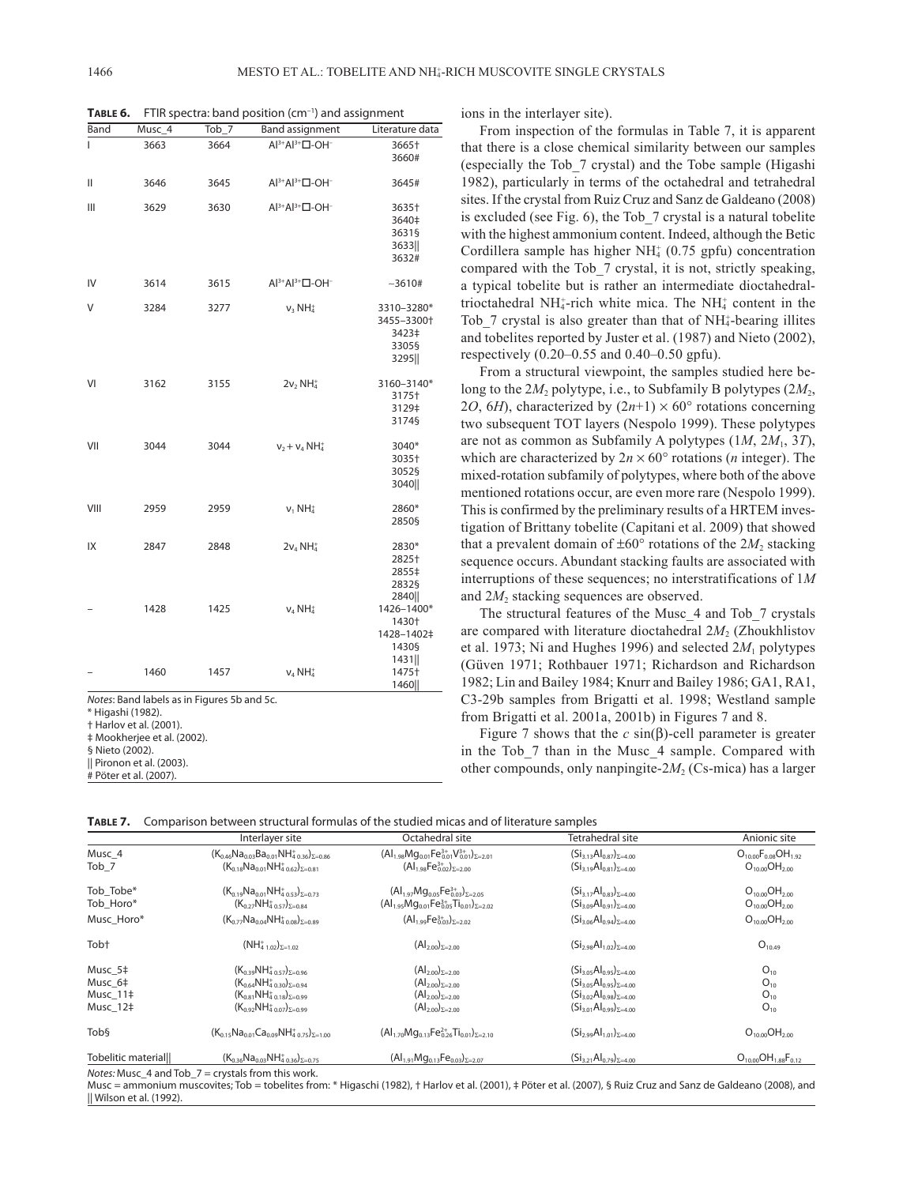**TABLE 6.** FTIR spectra: band position (cm<sup>-1</sup>) and assignment

| Band | Musc_4                                                           | $Tob_7$ | <b>Band assignment</b>                    | Literature data |
|------|------------------------------------------------------------------|---------|-------------------------------------------|-----------------|
| ı    | 3663                                                             | 3664    | $Al^{3+}Al^{3+}\square$ -OH <sup>-</sup>  | 3665†           |
|      |                                                                  |         |                                           | 3660#           |
| Ш    | 3646                                                             | 3645    | $Al^{3+}Al^{3+} \square$ -OH <sup>-</sup> | 3645#           |
| Ш    | 3629                                                             | 3630    | $Al^{3+}Al^{3+} \square$ -OH <sup>-</sup> | 3635†           |
|      |                                                                  |         |                                           | 3640‡           |
|      |                                                                  |         |                                           | 3631§           |
|      |                                                                  |         |                                           | 3633            |
|      |                                                                  |         |                                           | 3632#           |
| IV   | 3614                                                             | 3615    | $Al^{3+}Al^{3+}\square$ -OH <sup>-</sup>  | $-3610#$        |
| V    | 3284                                                             | 3277    | $v_3$ NH <sub>4</sub>                     | 3310-3280*      |
|      |                                                                  |         |                                           | 3455-3300+      |
|      |                                                                  |         |                                           | 3423‡           |
|      |                                                                  |         |                                           | 3305§           |
|      |                                                                  |         |                                           | 3295            |
| VI   | 3162                                                             | 3155    | $2v_2$ NH <sub>4</sub>                    | 3160-3140*      |
|      |                                                                  |         |                                           | 3175†           |
|      |                                                                  |         |                                           | 3129‡           |
|      |                                                                  |         |                                           | 3174§           |
| VII  | 3044                                                             | 3044    | $v_2 + v_4 NH_4^+$                        | 3040*           |
|      |                                                                  |         |                                           | 3035+           |
|      |                                                                  |         |                                           | 3052§           |
|      |                                                                  |         |                                           | 3040            |
| VIII | 2959                                                             | 2959    | $v_1 NH_4^+$                              | 2860*           |
|      |                                                                  |         |                                           | 2850§           |
| IX   | 2847                                                             | 2848    | $2v_4 NH_4^+$                             | 2830*           |
|      |                                                                  |         |                                           | 2825†           |
|      |                                                                  |         |                                           | 2855‡           |
|      |                                                                  |         |                                           | 2832§           |
|      |                                                                  |         |                                           | 2840            |
|      | 1428                                                             | 1425    | $V_4$ NH <sub>4</sub>                     | 1426-1400*      |
|      |                                                                  |         |                                           | 1430+           |
|      |                                                                  |         |                                           | 1428-1402‡      |
|      |                                                                  |         |                                           | 1430§           |
|      |                                                                  |         |                                           | 1431            |
|      | 1460                                                             | 1457    | $v_4$ NH <sub>4</sub>                     | 1475†           |
|      |                                                                  |         |                                           | 1460            |
|      | Notes: Band labels as in Figures 5b and 5c.<br>* Higashi (1982). |         |                                           |                 |
|      | † Harlov et al. (2001).                                          |         |                                           |                 |

‡ Mookherjee et al. (2002).

§ Nieto (2002).

|| Pironon et al. (2003).

# Pöter et al. (2007).

ions in the interlayer site).

From inspection of the formulas in Table 7, it is apparent that there is a close chemical similarity between our samples (especially the Tob\_7 crystal) and the Tobe sample (Higashi 1982), particularly in terms of the octahedral and tetrahedral sites. If the crystal from Ruiz Cruz and Sanz de Galdeano (2008) is excluded (see Fig. 6), the Tob\_7 crystal is a natural tobelite with the highest ammonium content. Indeed, although the Betic Cordillera sample has higher  $NH<sub>4</sub><sup>+</sup>$  (0.75 gpfu) concentration compared with the Tob\_7 crystal, it is not, strictly speaking, a typical tobelite but is rather an intermediate dioctahedraltrioctahedral NH $_4^+$ -rich white mica. The NH $_4^+$  content in the Tob $\_$ 7 crystal is also greater than that of NH $<sub>4</sub>$ -bearing illites</sub> and tobelites reported by Juster et al. (1987) and Nieto (2002), respectively (0.20–0.55 and 0.40–0.50 gpfu).

From a structural viewpoint, the samples studied here belong to the  $2M_2$  polytype, i.e., to Subfamily B polytypes  $(2M_2,$ 2*O*, 6*H*), characterized by  $(2n+1) \times 60^{\circ}$  rotations concerning two subsequent TOT layers (Nespolo 1999). These polytypes are not as common as Subfamily A polytypes (1*M*, 2*M*1, 3*T*), which are characterized by  $2n \times 60^{\circ}$  rotations (*n* integer). The mixed-rotation subfamily of polytypes, where both of the above mentioned rotations occur, are even more rare (Nespolo 1999). This is confirmed by the preliminary results of a HRTEM investigation of Brittany tobelite (Capitani et al. 2009) that showed that a prevalent domain of  $\pm 60^\circ$  rotations of the 2*M*<sub>2</sub> stacking sequence occurs. Abundant stacking faults are associated with interruptions of these sequences; no interstratifications of 1*M* and 2*M*<sub>2</sub> stacking sequences are observed.

The structural features of the Musc\_4 and Tob\_7 crystals are compared with literature dioctahedral 2*M*<sub>2</sub> (Zhoukhlistov et al. 1973; Ni and Hughes 1996) and selected  $2M_1$  polytypes (Güven 1971; Rothbauer 1971; Richardson and Richardson 1982; Lin and Bailey 1984; Knurr and Bailey 1986; GA1, RA1, C3-29b samples from Brigatti et al. 1998; Westland sample from Brigatti et al. 2001a, 2001b) in Figures 7 and 8.

Figure 7 shows that the  $c \sin(\beta)$ -cell parameter is greater in the Tob 7 than in the Musc 4 sample. Compared with other compounds, only nanpingite- $2M_2$  (Cs-mica) has a larger

|  | TABLE 7. Comparison between structural formulas of the studied micas and of literature samples |  |  |
|--|------------------------------------------------------------------------------------------------|--|--|
|--|------------------------------------------------------------------------------------------------|--|--|

|                                            | Interlayer site                                                                                                                                                  | Octahedral site                                                                                                    | Tetrahedral site                                                                                                                                             | Anionic site                                         |
|--------------------------------------------|------------------------------------------------------------------------------------------------------------------------------------------------------------------|--------------------------------------------------------------------------------------------------------------------|--------------------------------------------------------------------------------------------------------------------------------------------------------------|------------------------------------------------------|
| Musc 4<br>Tob <sub>7</sub>                 | $(K_{0.46}Na_{0.03}Ba_{0.01}NH_{4.036})_{\Sigma=0.86}$<br>$(K_{0.18}Na_{0.01}NH_{4.0.62})_{\Sigma=0.81}$                                                         | $(Al_{1.98}Mg_{0.01}Fe_{0.01}^{3+}V_{0.01}^{3+})_{\Sigma=2.01}$<br>$(Al_{1.98}Fe_{0.02}^{3+})_{\Sigma=2.00}$       | $(Si_{3,13}Al_{0.87})_{\Sigma=4.00}$<br>$(Si_{3,19}Al_{0.81})_{5=4.00}$                                                                                      | $O_{10,00}F_{0,08}OH_{1,92}$<br>$O_{10,00}OH_{2,00}$ |
| Tob Tobe*<br>Tob Horo*                     | $(K_{0.19}Na_{0.01}NH_{4.0.53})_{\Sigma=0.73}$<br>$(K_{0.27}NH_{4.0.57})_{\Sigma=0.84}$                                                                          | $(Al_{1.97}Mg_{0.05}Fe_{0.03}^{3+})_{\Sigma=2.05}$<br>$(Al_{1.95}Mg_{0.01}Fe_{0.05}^{3+}Ti_{0.01})_{\Sigma=2.02}$  | $(Si_{3.17}Al_{0.83})_{\Sigma=4.00}$<br>$(Si_{3.09}Al_{0.91})_{\Sigma=4.00}$                                                                                 | $O_{10,00}OH_{2,00}$<br>$O_{10,00}OH_{2,00}$         |
| Musc Horo*                                 | $(K_{0.77}Na_{0.04}NH_{4.0.08}^+)_{\Sigma=0.89}$                                                                                                                 | $(Al_{1.99}Fe_{0.03}^{3+})_{\Sigma=2.02}$                                                                          | $(Si_{3.06}Al_{0.94})_{\Sigma=4.00}$                                                                                                                         | $O_{10,00}OH_{2,00}$                                 |
| Tob <sup>+</sup>                           | $(NH4 1.02)2=1.02$                                                                                                                                               | $(Al_{2.00})_{\Sigma=2.00}$                                                                                        | $(Si_{2.98}Al_{1.02})_{\Sigma=4.00}$                                                                                                                         | $O_{10,49}$                                          |
| Musc 5‡<br>Musc 6‡<br>Musc 11‡<br>Musc 12‡ | $(K_{0.39}NH_{4.0.57})_{\Sigma=0.96}$<br>$(K_{0.64}NH_{4.0.30})_{\Sigma=0.94}$<br>$(K_{0.81}NH_{4.0.18})_{\Sigma=0.99}$<br>$(K_{0.92}NH_{4.0.07})_{\Sigma=0.99}$ | $(Al_{2.00})_{\Sigma=2.00}$<br>$(Al_{2.00})_{\Sigma=2.00}$<br>$(Al2.00)\Sigma=2.00$<br>$(Al_{2.00})_{\Sigma=2.00}$ | $(Si_{3.05}Al_{0.95})_{\Sigma=4.00}$<br>$(Si_{3.05}Al_{0.95})_{\Sigma=4.00}$<br>$(Si_{3.02}Al_{0.98})_{\Sigma=4.00}$<br>$(Si_{3.01}Al_{0.99})_{\Sigma=4.00}$ | $O_{10}$<br>$O_{10}$<br>$O_{10}$<br>$O_{10}$         |
| Tobs                                       | $(K_{0.15}Na_{0.01}Ca_{0.09}NH_{4.0.75})_{\Sigma=1.00}$                                                                                                          | $(Al_{1.70}Mg_{0.13}Fe_{0.26}^{2+}Ti_{0.01})_{\Sigma=2.10}$                                                        | $(Si_{2.99}Al_{1.01})_{\Sigma=4.00}$                                                                                                                         | $O_{10,00}OH_{2,00}$                                 |
| <b>Tobelitic materialll</b>                | $(K_{0.36}Na_{0.03}NH_{4.0.36}^+)_{\Sigma=0.75}$                                                                                                                 | $(Al_{1.91}Mg_{0.13}Fe_{0.03})_{\Sigma=2.07}$                                                                      | $(Si_{3.21}Al_{0.79})_{\Sigma=4.00}$                                                                                                                         | $O_{10,00}OH_{1,88}F_{0,12}$                         |

*Notes:* Musc\_4 and Tob\_7 = crystals from this work.

Musc = ammonium muscovites; Tob = tobelites from: \* Higaschi (1982), † Harlov et al. (2001), ‡ Pöter et al. (2007), § Ruiz Cruz and Sanz de Galdeano (2008), and || Wilson et al. (1992).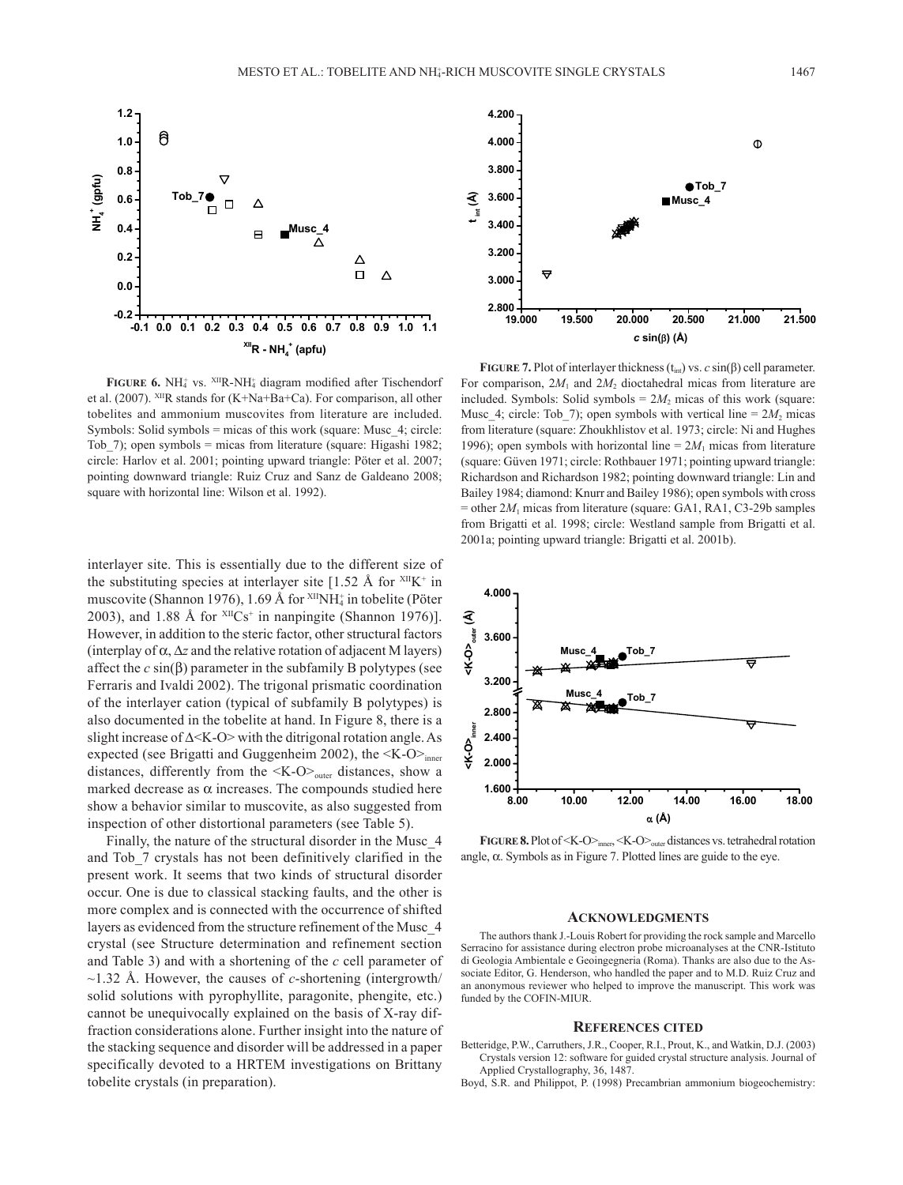

**FIGURE 6.** NH<sub>4</sub><sup>+</sup> vs. <sup>XII</sup>R-NH<sub>4</sub><sup>+</sup> diagram modified after Tischendorf et al. (2007). XIIR stands for (K+Na+Ba+Ca). For comparison, all other tobelites and ammonium muscovites from literature are included. Symbols: Solid symbols = micas of this work (square: Musc\_4; circle: Tob 7); open symbols = micas from literature (square: Higashi 1982; circle: Harlov et al. 2001; pointing upward triangle: Pöter et al. 2007; pointing downward triangle: Ruiz Cruz and Sanz de Galdeano 2008; square with horizontal line: Wilson et al. 1992).

interlayer site. This is essentially due to the different size of the substituting species at interlayer site  $[1.52 \text{ Å}$  for  $XIIK^+$  in muscovite (Shannon 1976), 1.69 Å for <sup>xII</sup>NH<sub>4</sub> in tobelite (Pöter 2003), and 1.88 Å for  $X^{\text{II}}Cs^+$  in nanpingite (Shannon 1976)]. However, in addition to the steric factor, other structural factors (interplay of  $\alpha$ ,  $\Delta z$  and the relative rotation of adjacent M layers) affect the  $c \sin(\beta)$  parameter in the subfamily B polytypes (see Ferraris and Ivaldi 2002). The trigonal prismatic coordination of the interlayer cation (typical of subfamily B polytypes) is also documented in the tobelite at hand. In Figure 8, there is a slight increase of ∆<K-O> with the ditrigonal rotation angle. As expected (see Brigatti and Guggenheim 2002), the  $\langle K-O \rangle$ <sub>inner</sub> distances, differently from the  $\langle K-O \rangle$ <sub>outer</sub> distances, show a marked decrease as  $\alpha$  increases. The compounds studied here show a behavior similar to muscovite, as also suggested from inspection of other distortional parameters (see Table 5).

Finally, the nature of the structural disorder in the Musc\_4 and Tob\_7 crystals has not been definitively clarified in the present work. It seems that two kinds of structural disorder occur. One is due to classical stacking faults, and the other is more complex and is connected with the occurrence of shifted layers as evidenced from the structure refinement of the Musc\_4 crystal (see Structure determination and refinement section and Table 3) and with a shortening of the *c* cell parameter of ~1.32 Å. However, the causes of *c*-shortening (intergrowth/ solid solutions with pyrophyllite, paragonite, phengite, etc.) cannot be unequivocally explained on the basis of X-ray diffraction considerations alone. Further insight into the nature of the stacking sequence and disorder will be addressed in a paper specifically devoted to a HRTEM investigations on Brittany tobelite crystals (in preparation).



**FIGURE 7.** Plot of interlayer thickness  $(t_{int})$  vs. *c* sin( $\beta$ ) cell parameter. For comparison,  $2M_1$  and  $2M_2$  dioctahedral micas from literature are included. Symbols: Solid symbols =  $2M_2$  micas of this work (square: Musc 4; circle: Tob 7); open symbols with vertical line =  $2M_2$  micas from literature (square: Zhoukhlistov et al. 1973; circle: Ni and Hughes 1996); open symbols with horizontal line  $= 2M_1$  micas from literature (square: Güven 1971; circle: Rothbauer 1971; pointing upward triangle: Richardson and Richardson 1982; pointing downward triangle: Lin and Bailey 1984; diamond: Knurr and Bailey 1986); open symbols with cross  $=$  other  $2M_1$  micas from literature (square: GA1, RA1, C3-29b samples from Brigatti et al. 1998; circle: Westland sample from Brigatti et al. 2001a; pointing upward triangle: Brigatti et al. 2001b).



**Figure 8**  angle, α. Symbols as in Figure 7. Plotted lines are guide to the eye.**FIGURE 8.** Plot of <K-O><sub>inner</sub>, <K-O><sub>outer</sub> distances vs. tetrahedral rotation

### **Acknowledgments**

The authors thank J.-Louis Robert for providing the rock sample and Marcello Serracino for assistance during electron probe microanalyses at the CNR-Istituto di Geologia Ambientale e Geoingegneria (Roma). Thanks are also due to the Associate Editor, G. Henderson, who handled the paper and to M.D. Ruiz Cruz and an anonymous reviewer who helped to improve the manuscript. This work was funded by the COFIN-MIUR.

#### **References cited**

- Betteridge, P.W., Carruthers, J.R., Cooper, R.I., Prout, K., and Watkin, D.J. (2003) Crystals version 12: software for guided crystal structure analysis. Journal of Applied Crystallography, 36, 1487.
- Boyd, S.R. and Philippot, P. (1998) Precambrian ammonium biogeochemistry: